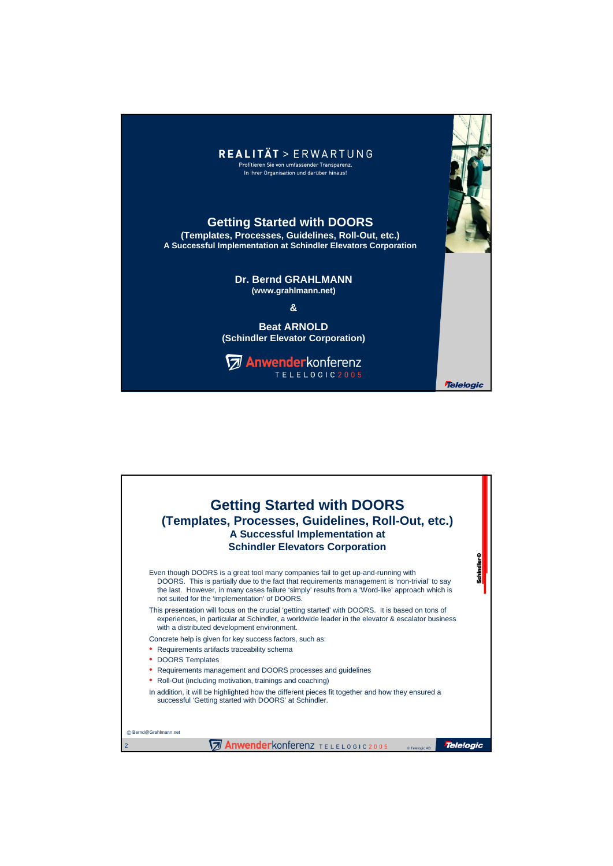

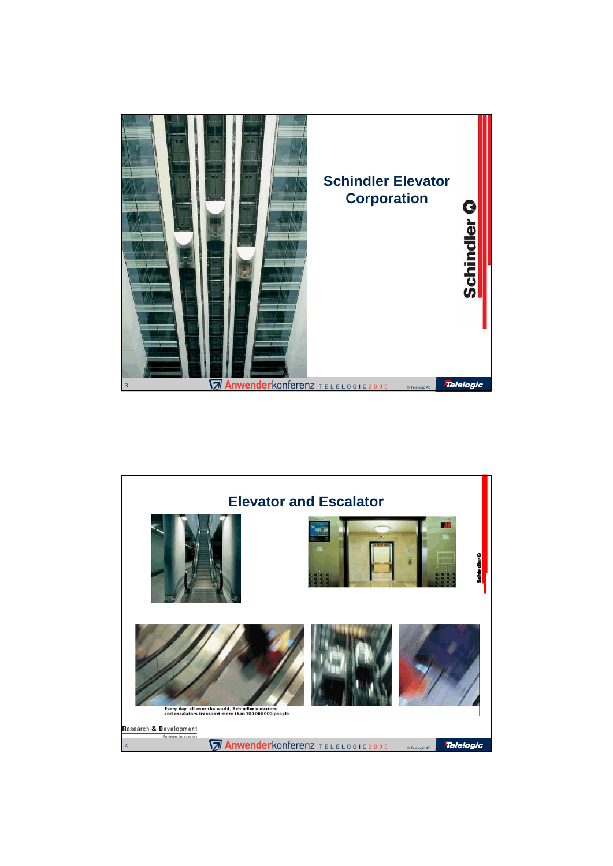

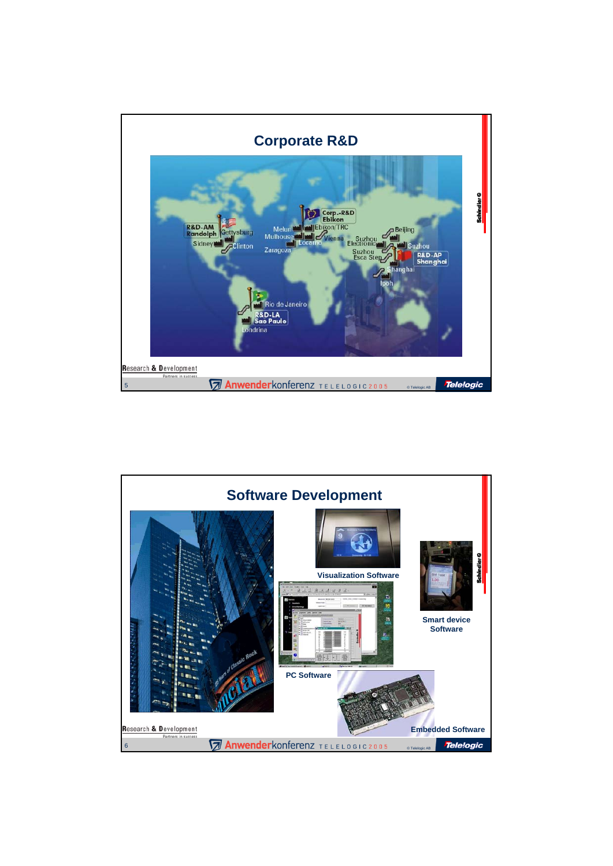

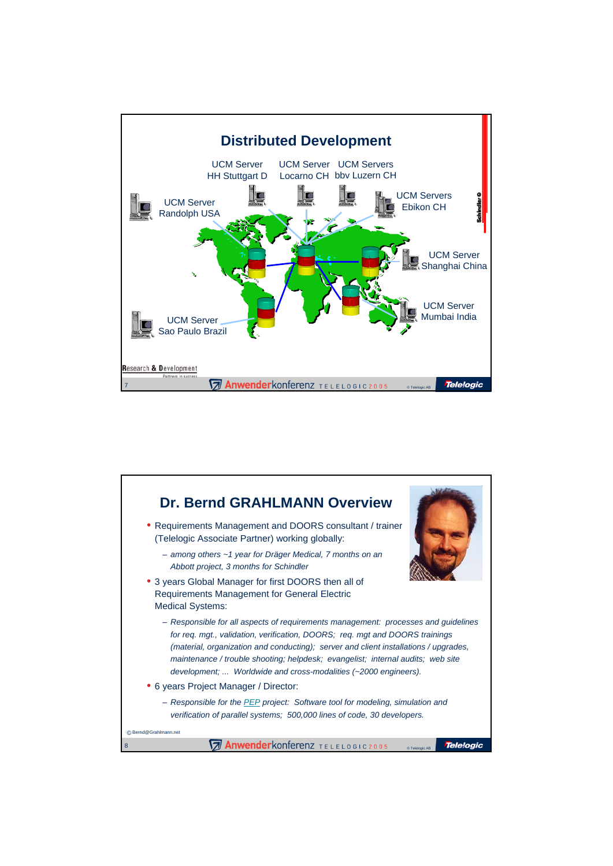

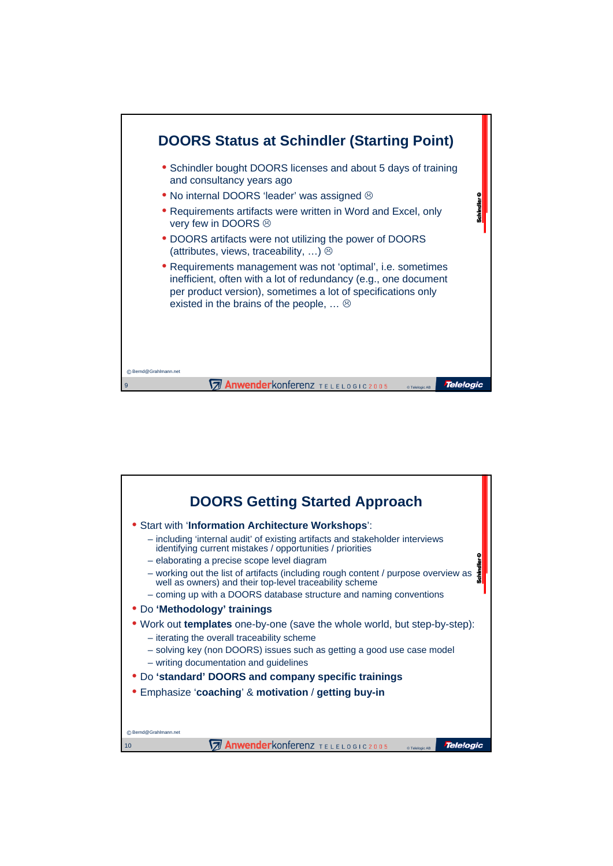

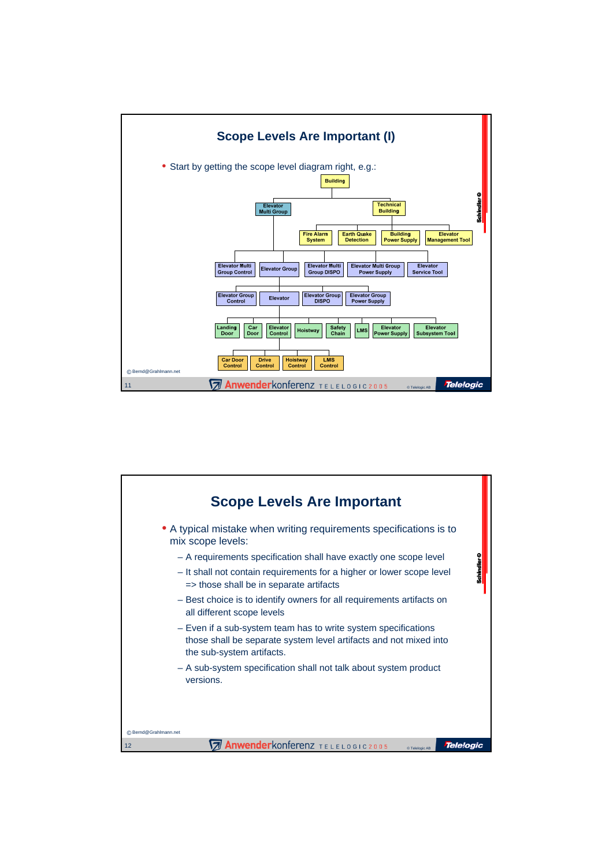

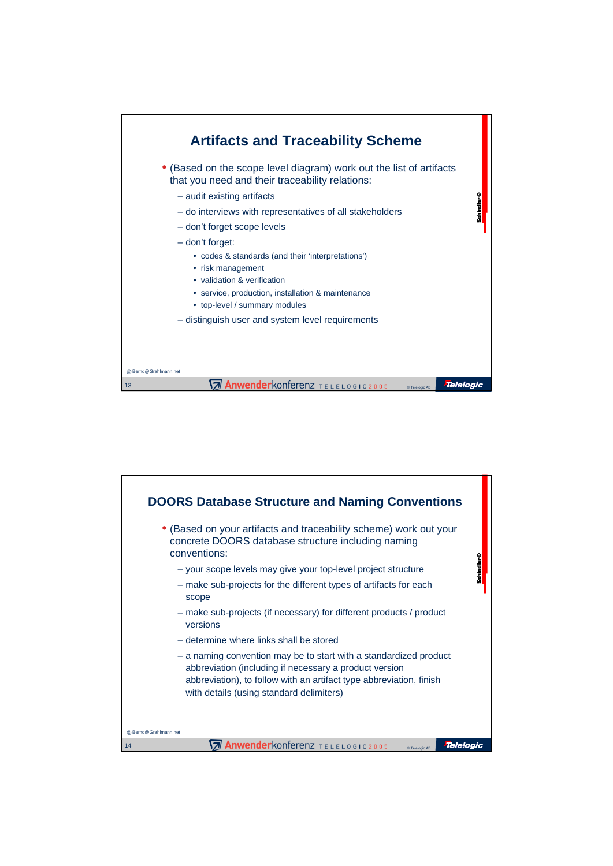

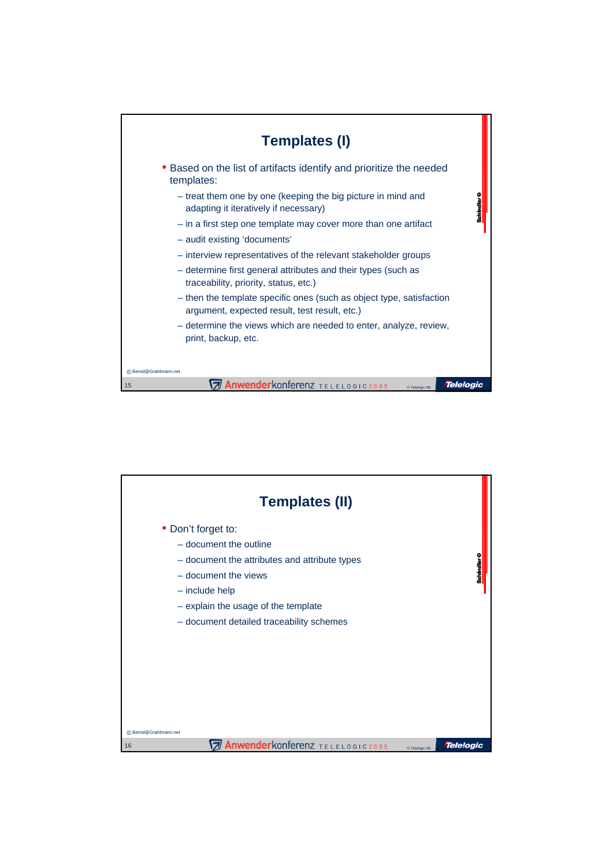

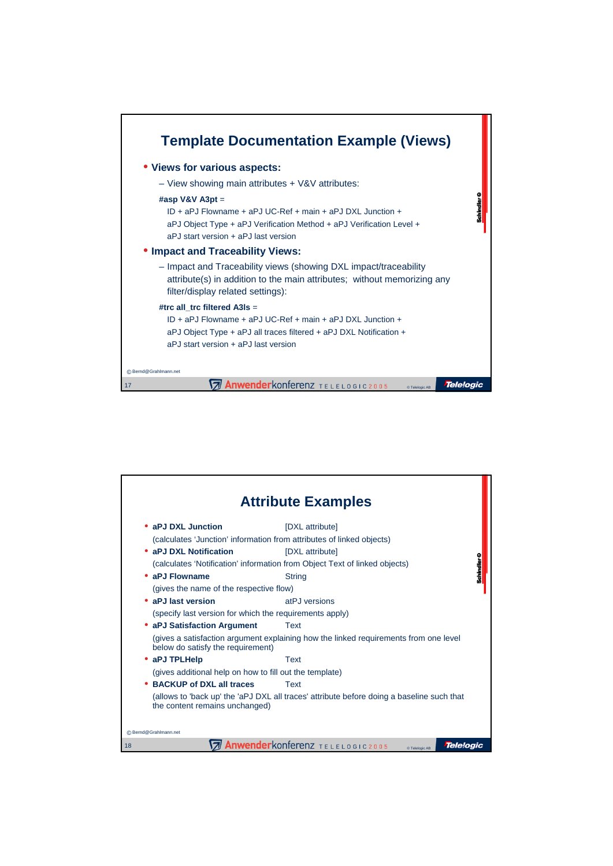

| <b>Attribute Examples</b>                                                                                                   |                              |
|-----------------------------------------------------------------------------------------------------------------------------|------------------------------|
| • aPJ DXL Junction                                                                                                          | [DXL attribute]              |
| (calculates 'Junction' information from attributes of linked objects)                                                       |                              |
| • aPJ DXL Notification                                                                                                      | [DXL attribute]              |
| (calculates 'Notification' information from Object Text of linked objects)                                                  |                              |
| • aPJ Flowname                                                                                                              | Schindler O<br><b>String</b> |
| (gives the name of the respective flow)                                                                                     |                              |
| • aPJ last version                                                                                                          | atPJ versions                |
| (specify last version for which the requirements apply)                                                                     |                              |
| • aPJ Satisfaction Argument                                                                                                 | Text                         |
| (gives a satisfaction argument explaining how the linked requirements from one level<br>below do satisfy the requirement)   |                              |
| • aPJ TPLHelp                                                                                                               | Text                         |
| (gives additional help on how to fill out the template)                                                                     |                              |
| • BACKUP of DXL all traces                                                                                                  | Text                         |
| (allows to 'back up' the 'aPJ DXL all traces' attribute before doing a baseline such that<br>the content remains unchanged) |                              |
| C Bernd@Grahlmann.net                                                                                                       |                              |
| <b>Anwender</b> konferenz TELELOGIC2005<br><b>Telelogic</b><br>18<br>© Telelogic AB                                         |                              |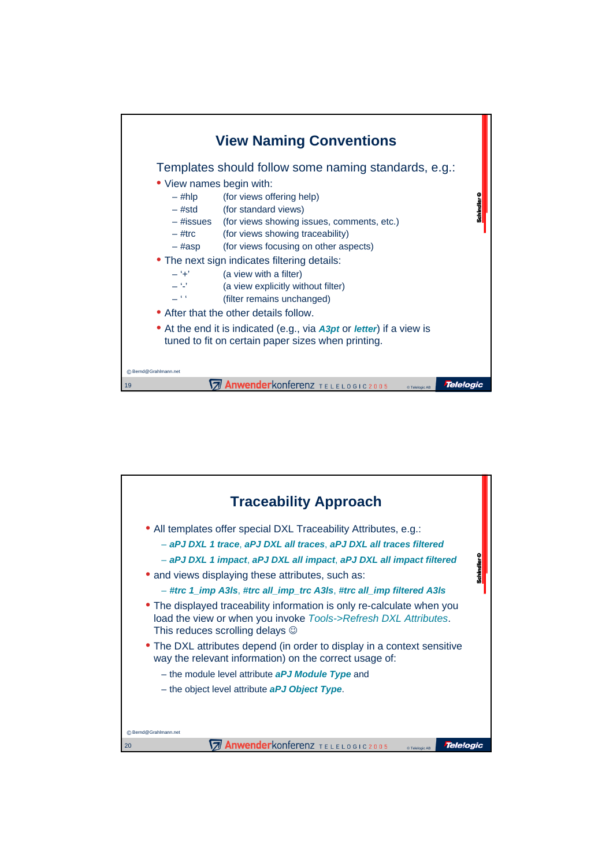

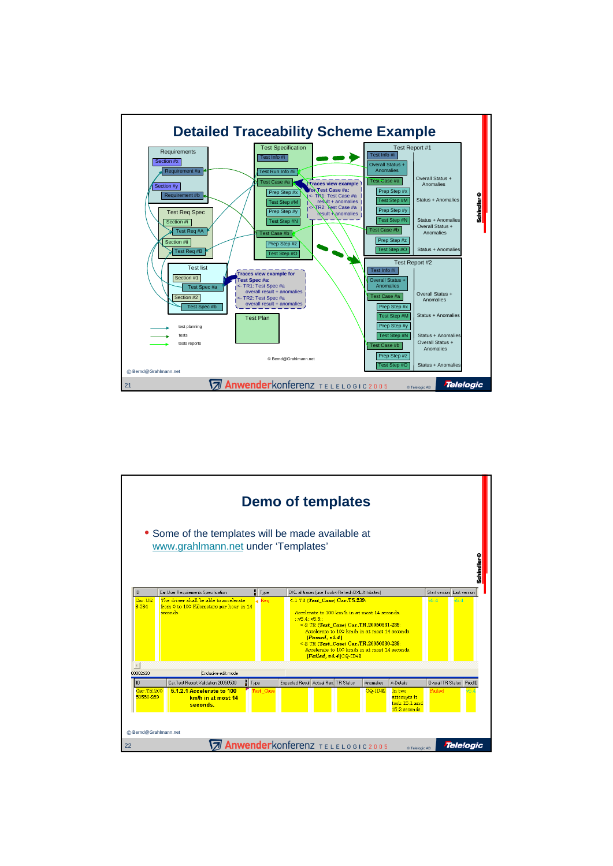

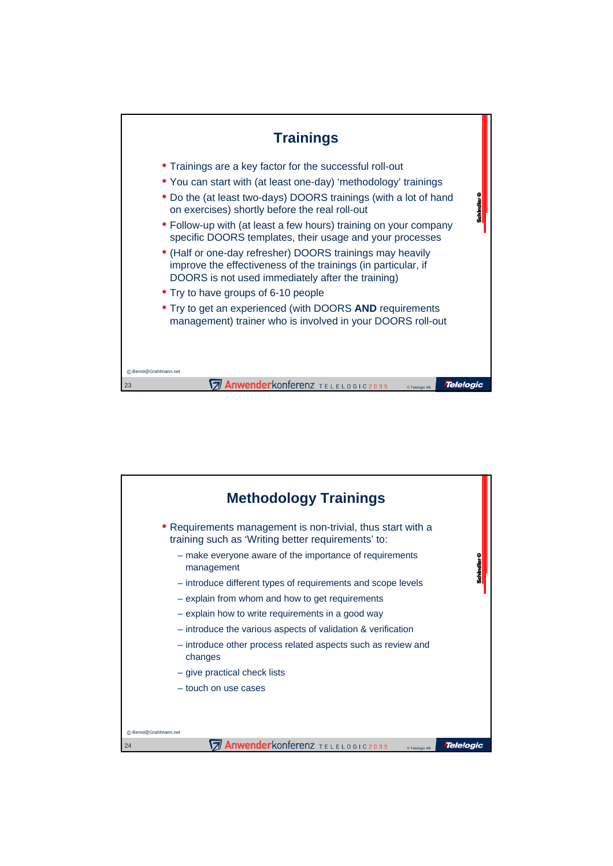

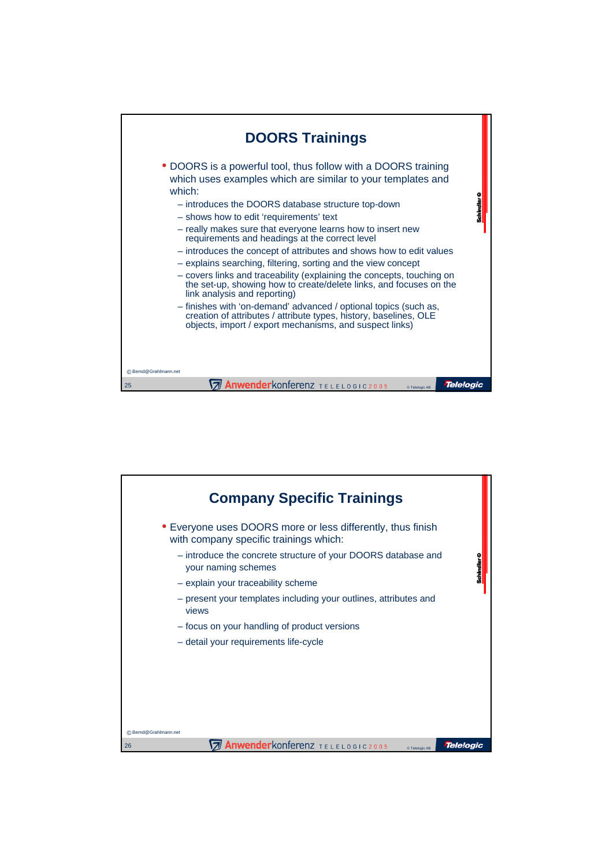

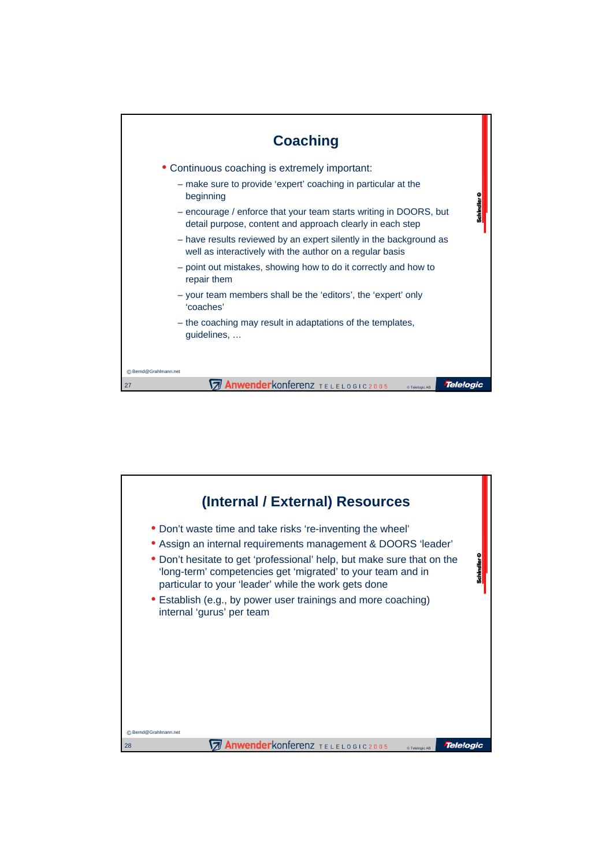